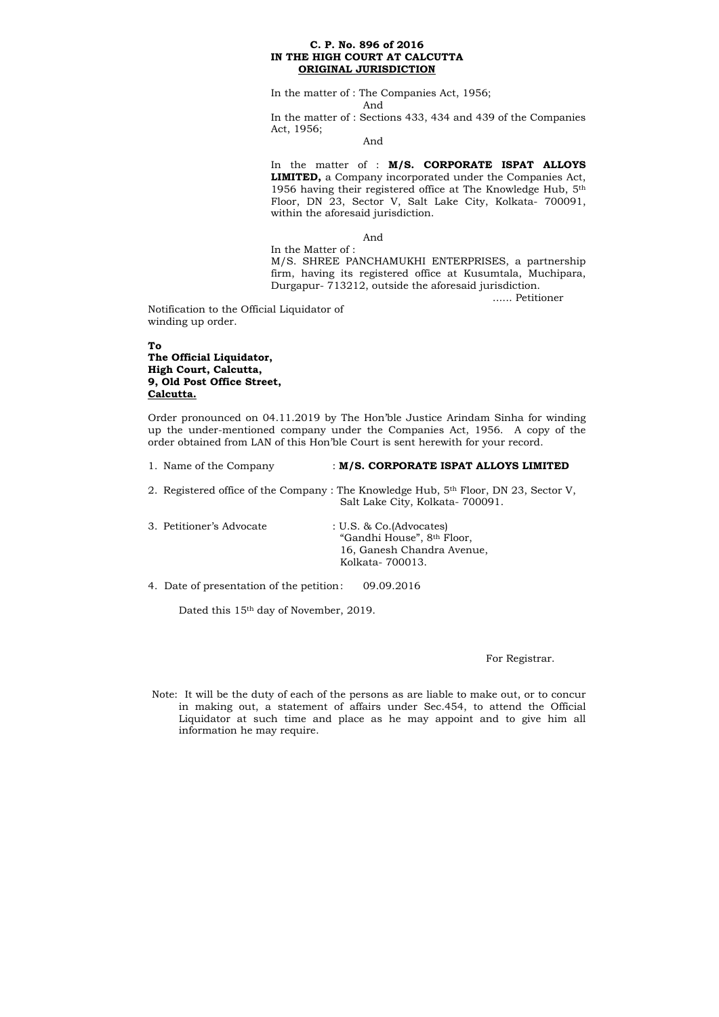#### **C. P. No. 896 of 2016 IN THE HIGH COURT AT CALCUTTA ORIGINAL JURISDICTION**

In the matter of : The Companies Act, 1956; And In the matter of : Sections 433, 434 and 439 of the Companies Act, 1956;

And

In the matter of : **M/S. CORPORATE ISPAT ALLOYS LIMITED,** a Company incorporated under the Companies Act, 1956 having their registered office at The Knowledge Hub, 5th Floor, DN 23, Sector V, Salt Lake City, Kolkata- 700091, within the aforesaid jurisdiction.

And

| 1. Name of the Company                   | : M/S. CORPORATE ISPAT ALLOYS LIMITED                                                                                    |
|------------------------------------------|--------------------------------------------------------------------------------------------------------------------------|
|                                          | 2. Registered office of the Company: The Knowledge Hub, $5th$ Floor, DN 23, Sector V,<br>Salt Lake City, Kolkata-700091. |
| 3. Petitioner's Advocate                 | $: U.S. \& Co.(Advocates)$<br>"Gandhi House", 8th Floor,<br>16, Ganesh Chandra Avenue,<br>Kolkata-700013.                |
| 4. Date of presentation of the petition: | 09.09.2016                                                                                                               |

In the Matter of : M/S. SHREE PANCHAMUKHI ENTERPRISES, a partnership firm, having its registered office at Kusumtala, Muchipara, Durgapur- 713212, outside the aforesaid jurisdiction.

...... Petitioner

Notification to the Official Liquidator of winding up order.

### **To The Official Liquidator, High Court, Calcutta, 9, Old Post Office Street, Calcutta.**

Order pronounced on 04.11.2019 by The Hon'ble Justice Arindam Sinha for winding up the under-mentioned company under the Companies Act, 1956. A copy of the order obtained from LAN of this Hon'ble Court is sent herewith for your record.

Dated this 15th day of November, 2019.

For Registrar.

Note: It will be the duty of each of the persons as are liable to make out, or to concur in making out, a statement of affairs under Sec.454, to attend the Official Liquidator at such time and place as he may appoint and to give him all information he may require.